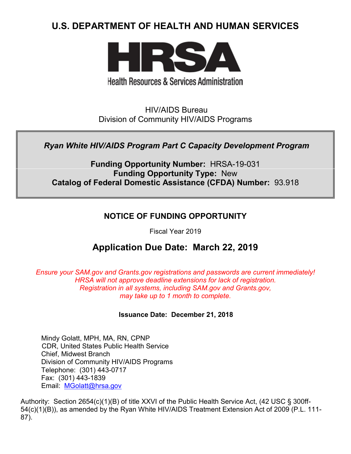# **U.S. DEPARTMENT OF HEALTH AND HUMAN SERVICES**



# **Health Resources & Services Administration**

HIV/AIDS Bureau Division of Community HIV/AIDS Programs

# *Ryan White HIV/AIDS Program Part C Capacity Development Program*

**Funding Opportunity Number:** HRSA-19-031 **Funding Opportunity Type:** New **Catalog of Federal Domestic Assistance (CFDA) Number:** 93.918

# **NOTICE OF FUNDING OPPORTUNITY**

Fiscal Year 2019

# **Application Due Date: March 22, 2019**

*Ensure your SAM.gov and Grants.gov registrations and passwords are current immediately! HRSA will not approve deadline extensions for lack of registration. Registration in all systems, including SAM.gov and Grants.gov, may take up to 1 month to complete.*

# **Issuance Date:****December 21, 2018**

Mindy Golatt, MPH, MA, RN, CPNP CDR, United States Public Health Service Chief, Midwest Branch Division of Community HIV/AIDS Programs Telephone: (301) 443-0717 Fax: (301) 443-1839 Email: [MGolatt@hrsa.gov](mailto:MGolatt@hrsa.gov)

Authority: Section 2654(c)(1)(B) of title XXVI of the Public Health Service Act, (42 USC § 300ff-54(c)(1)(B)), as amended by the Ryan White HIV/AIDS Treatment Extension Act of 2009 (P.L. 111- 87).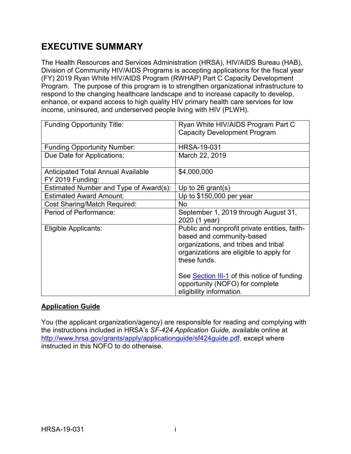# **EXECUTIVE SUMMARY**

The Health Resources and Services Administration (HRSA), HIV/AIDS Bureau (HAB), Division of Community HIV/AIDS Programs is accepting applications for the fiscal year (FY) 2019 Ryan White HIV/AIDS Program (RWHAP) Part C Capacity Development Program. The purpose of this program is to strengthen organizational infrastructure to respond to the changing healthcare landscape and to increase capacity to develop, enhance, or expand access to high quality HIV primary health care services for low income, uninsured, and underserved people living with HIV (PLWH).

| <b>Funding Opportunity Title:</b>                             | Ryan White HIV/AIDS Program Part C                                         |
|---------------------------------------------------------------|----------------------------------------------------------------------------|
|                                                               | <b>Capacity Development Program</b>                                        |
|                                                               |                                                                            |
| <b>Funding Opportunity Number:</b>                            | <b>HRSA-19-031</b>                                                         |
| Due Date for Applications:                                    | March 22, 2019                                                             |
| <b>Anticipated Total Annual Available</b><br>FY 2019 Funding: | \$4,000,000                                                                |
| Estimated Number and Type of Award(s):                        | Up to 26 grant(s)                                                          |
| <b>Estimated Award Amount:</b>                                | Up to $$150,000$ per year                                                  |
| <b>Cost Sharing/Match Required:</b>                           | No.                                                                        |
| Period of Performance:                                        | September 1, 2019 through August 31,                                       |
|                                                               | 2020 (1 year)                                                              |
| Eligible Applicants:                                          | Public and nonprofit private entities, faith-<br>based and community-based |
|                                                               | organizations, and tribes and tribal                                       |
|                                                               | organizations are eligible to apply for                                    |
|                                                               | these funds.                                                               |
|                                                               |                                                                            |
|                                                               | See Section III-1 of this notice of funding                                |
|                                                               | opportunity (NOFO) for complete                                            |
|                                                               | eligibility information.                                                   |

# **Application Guide**

You (the applicant organization/agency) are responsible for reading and complying with the instructions included in HRSA's *SF-424 Application Guide,* available online at [http://www.hrsa.gov/grants/apply/applicationguide/sf424guide.pdf,](http://www.hrsa.gov/grants/apply/applicationguide/sf424guide.pdf) except where instructed in this NOFO to do otherwise.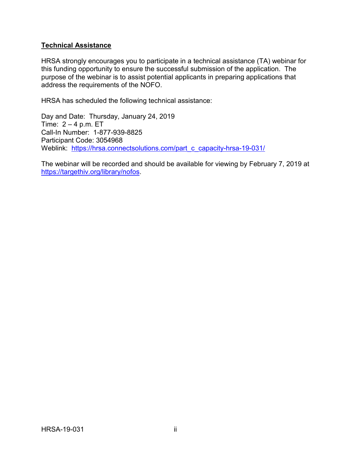#### **Technical Assistance**

HRSA strongly encourages you to participate in a technical assistance (TA) webinar for this funding opportunity to ensure the successful submission of the application. The purpose of the webinar is to assist potential applicants in preparing applications that address the requirements of the NOFO.

HRSA has scheduled the following technical assistance:

Day and Date: Thursday, January 24, 2019 Time:  $2 - 4$  p.m. ET Call-In Number: 1-877-939-8825 Participant Code: 3054968 Weblink: [https://hrsa.connectsolutions.com/part\\_c\\_capacity-hrsa-19-031/](https://hrsa.connectsolutions.com/part_c_capacity-hrsa-19-031/)

The webinar will be recorded and should be available for viewing by February 7, 2019 at [https://targethiv.org/library/nofos.](https://targethiv.org/library/nofos)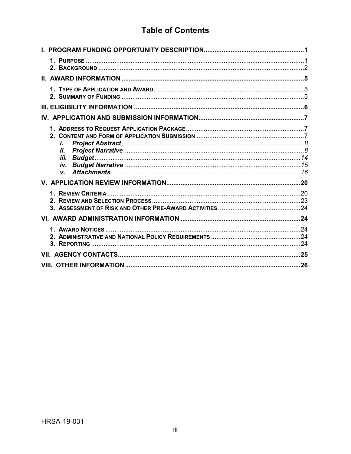# **Table of Contents**

| i.<br>İİ.<br>iii. |     |
|-------------------|-----|
| V.                |     |
|                   |     |
|                   |     |
|                   |     |
|                   |     |
|                   |     |
|                   | .26 |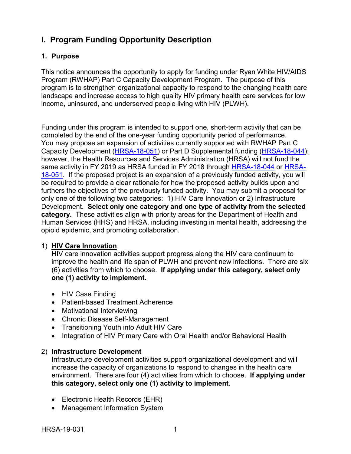# <span id="page-4-0"></span>**I. Program Funding Opportunity Description**

# <span id="page-4-1"></span>**1. Purpose**

This notice announces the opportunity to apply for funding under Ryan White HIV/AIDS Program (RWHAP) Part C Capacity Development Program. The purpose of this program is to strengthen organizational capacity to respond to the changing health care landscape and increase access to high quality HIV primary health care services for low income, uninsured, and underserved people living with HIV (PLWH).

Funding under this program is intended to support one, short-term activity that can be completed by the end of the one-year funding opportunity period of performance. You may propose an expansion of activities currently supported with RWHAP Part C Capacity Development [\(HRSA-18-051\)](https://www.hrsa.gov/grants/fundingopportunities/default.aspx?id=fdf7c4f2-55f4-4b83-87d3-e66e0d283180) or Part D Supplemental funding [\(HRSA-18-044\)](https://www.hrsa.gov/grants/fundingopportunities/default.aspx?id=3aba9e1d-e74d-4679-a638-54191574c1a1); however, the Health Resources and Services Administration (HRSA) will not fund the same activity in FY 2019 as HRSA funded in FY 2018 through [HRSA-18-044](https://www.hrsa.gov/grants/fundingopportunities/default.aspx?id=3aba9e1d-e74d-4679-a638-54191574c1a1) or [HRSA-](https://www.hrsa.gov/grants/fundingopportunities/default.aspx?id=fdf7c4f2-55f4-4b83-87d3-e66e0d283180)[18-051.](https://www.hrsa.gov/grants/fundingopportunities/default.aspx?id=fdf7c4f2-55f4-4b83-87d3-e66e0d283180) If the proposed project is an expansion of a previously funded activity, you will be required to provide a clear rationale for how the proposed activity builds upon and furthers the objectives of the previously funded activity. You may submit a proposal for only one of the following two categories: 1) HIV Care Innovation or 2) Infrastructure Development. **Select only one category and one type of activity from the selected category.** These activities align with priority areas for the Department of Health and Human Services (HHS) and HRSA, including investing in mental health, addressing the opioid epidemic, and promoting collaboration.

# 1) **HIV Care Innovation**

HIV care innovation activities support progress along the HIV care continuum to improve the health and life span of PLWH and prevent new infections. There are six (6) activities from which to choose. **If applying under this category, select only one (1) activity to implement.**

- HIV Case Finding
- Patient-based Treatment Adherence
- Motivational Interviewing
- Chronic Disease Self-Management
- Transitioning Youth into Adult HIV Care
- Integration of HIV Primary Care with Oral Health and/or Behavioral Health

#### 2) **Infrastructure Development**

Infrastructure development activities support organizational development and will increase the capacity of organizations to respond to changes in the health care environment. There are four (4) activities from which to choose. **If applying under this category, select only one (1) activity to implement.**

- Electronic Health Records (EHR)
- Management Information System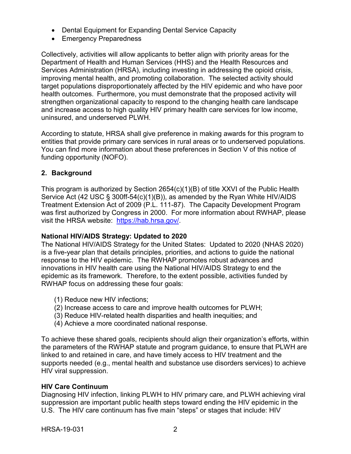- Dental Equipment for Expanding Dental Service Capacity
- Emergency Preparedness

Collectively, activities will allow applicants to better align with priority areas for the Department of Health and Human Services (HHS) and the Health Resources and Services Administration (HRSA), including investing in addressing the opioid crisis, improving mental health, and promoting collaboration. The selected activity should target populations disproportionately affected by the HIV epidemic and who have poor health outcomes. Furthermore, you must demonstrate that the proposed activity will strengthen organizational capacity to respond to the changing health care landscape and increase access to high quality HIV primary health care services for low income, uninsured, and underserved PLWH.

According to statute, HRSA shall give preference in making awards for this program to entities that provide primary care services in rural areas or to underserved populations. You can find more information about these preferences in Section V of this notice of funding opportunity (NOFO).

# <span id="page-5-0"></span>**2. Background**

This program is authorized by Section 2654(c)(1)(B) of title XXVI of the Public Health Service Act (42 USC § 300ff-54(c)(1)(B)), as amended by the Ryan White HIV/AIDS Treatment Extension Act of 2009 (P.L. 111-87). The Capacity Development Program was first authorized by Congress in 2000. For more information about RWHAP, please visit the HRSA website: [https://hab.hrsa.gov/.](https://hab.hrsa.gov/)

# **National HIV/AIDS Strategy: Updated to 2020**

The National HIV/AIDS Strategy for the United States: Updated to 2020 (NHAS 2020) is a five-year plan that details principles, priorities, and actions to guide the national response to the HIV epidemic. The RWHAP promotes robust advances and innovations in HIV health care using the National HIV/AIDS Strategy to end the epidemic as its framework. Therefore, to the extent possible, activities funded by RWHAP focus on addressing these four goals:

- (1) Reduce new HIV infections;
- (2) Increase access to care and improve health outcomes for PLWH;
- (3) Reduce HIV-related health disparities and health inequities; and
- (4) Achieve a more coordinated national response.

To achieve these shared goals, recipients should align their organization's efforts, within the parameters of the RWHAP statute and program guidance, to ensure that PLWH are linked to and retained in care, and have timely access to HIV treatment and the supports needed (e.g., mental health and substance use disorders services) to achieve HIV viral suppression.

# **HIV Care Continuum**

Diagnosing HIV infection, linking PLWH to HIV primary care, and PLWH achieving viral suppression are important public health steps toward ending the HIV epidemic in the U.S. The HIV care continuum has five main "steps" or stages that include: HIV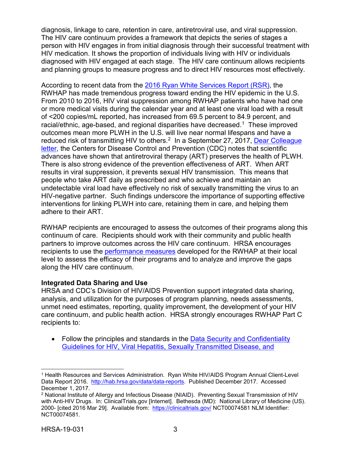diagnosis, linkage to care, retention in care, antiretroviral use, and viral suppression. The HIV care continuum provides a framework that depicts the series of stages a person with HIV engages in from initial diagnosis through their successful treatment with HIV medication. It shows the proportion of individuals living with HIV or individuals diagnosed with HIV engaged at each stage. The HIV care continuum allows recipients and planning groups to measure progress and to direct HIV resources most effectively.

According to recent data from the [2016 Ryan White Services Report \(RSR\),](https://hab.hrsa.gov/sites/default/files/hab/data/datareports/RWHAP-annual-client-level-data-report-2016.pdf) the RWHAP has made tremendous progress toward ending the HIV epidemic in the U.S. From 2010 to 2016, HIV viral suppression among RWHAP patients who have had one or more medical visits during the calendar year and at least one viral load with a result of <200 copies/mL reported, has increased from 69.5 percent to 84.9 percent, and racial/ethnic, age-based, and regional disparities have decreased.<sup>1</sup> These improved outcomes mean more PLWH in the U.S. will live near normal lifespans and have a reduced risk of transmitting HIV to others.<sup>2</sup> In a September 27, 2017, Dear Colleague [letter,](https://docs.wixstatic.com/ugd/de0404_fab89a3aaeeb406bbd7898d0e90d5dac.pdf) the Centers for Disease Control and Prevention (CDC) notes that scientific advances have shown that antiretroviral therapy (ART) preserves the health of PLWH. There is also strong evidence of the prevention effectiveness of ART. When ART results in viral suppression, it prevents sexual HIV transmission. This means that people who take ART daily as prescribed and who achieve and maintain an undetectable viral load have effectively no risk of sexually transmitting the virus to an HIV-negative partner. Such findings underscore the importance of supporting effective interventions for linking PLWH into care, retaining them in care, and helping them adhere to their ART.

RWHAP recipients are encouraged to assess the outcomes of their programs along this continuum of care. Recipients should work with their community and public health partners to improve outcomes across the HIV care continuum. HRSA encourages recipients to use the [performance measures](http://hab.hrsa.gov/deliverhivaidscare/habperformmeasures.html) developed for the RWHAP at their local level to assess the efficacy of their programs and to analyze and improve the gaps along the HIV care continuum.

#### **Integrated Data Sharing and Use**

HRSA and CDC's Division of HIV/AIDS Prevention support integrated data sharing, analysis, and utilization for the purposes of program planning, needs assessments, unmet need estimates, reporting, quality improvement, the development of your HIV care continuum, and public health action. HRSA strongly encourages RWHAP Part C recipients to:

• Follow the principles and standards in the Data Security and Confidentiality [Guidelines for HIV, Viral](http://www.cdc.gov/nchhstp/programintegration/docs/pcsidatasecurityguidelines.pdf) [Hepatitis, Sexually Transmitted Disease, and](http://www.cdc.gov/nchhstp/programintegration/docs/pcsidatasecurityguidelines.pdf) 

<span id="page-6-0"></span> $\overline{a}$ <sup>1</sup> Health Resources and Services Administration. Ryan White HIV/AIDS Program Annual Client-Level Data Report 2016. [http://hab.hrsa.gov/data/data-reports.](http://hab.hrsa.gov/data/data-reports) Published December 2017. Accessed December 1, 2017.

<span id="page-6-1"></span><sup>2</sup> National Institute of Allergy and Infectious Disease (NIAID). Preventing Sexual Transmission of HIV with Anti-HIV Drugs. In: ClinicalTrials.gov [Internet]. Bethesda (MD): National Library of Medicine (US). 2000- [cited 2016 Mar 29]. Available from: <https://clinicaltrials.gov/> NCT00074581 NLM Identifier: NCT00074581.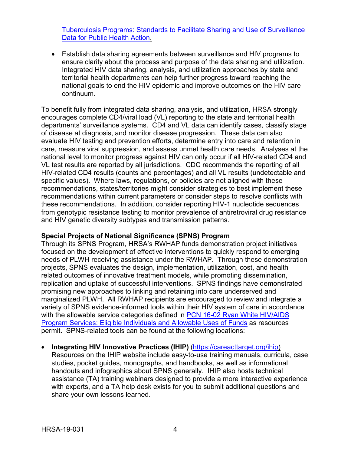[Tuberculosis Programs: Standards to Facilitate](http://www.cdc.gov/nchhstp/programintegration/docs/pcsidatasecurityguidelines.pdf) [Sharing and Use of Surveillance](http://www.cdc.gov/nchhstp/programintegration/docs/pcsidatasecurityguidelines.pdf)  [Data for Public Health Action.](http://www.cdc.gov/nchhstp/programintegration/docs/pcsidatasecurityguidelines.pdf)

• Establish data sharing agreements between surveillance and HIV programs to ensure clarity about the process and purpose of the data sharing and utilization. Integrated HIV data sharing, analysis, and utilization approaches by state and territorial health departments can help further progress toward reaching the national goals to end the HIV epidemic and improve outcomes on the HIV care continuum.

To benefit fully from integrated data sharing, analysis, and utilization, HRSA strongly encourages complete CD4/viral load (VL) reporting to the state and territorial health departments' surveillance systems. CD4 and VL data can identify cases, classify stage of disease at diagnosis, and monitor disease progression. These data can also evaluate HIV testing and prevention efforts, determine entry into care and retention in care, measure viral suppression, and assess unmet health care needs. Analyses at the national level to monitor progress against HIV can only occur if all HIV-related CD4 and VL test results are reported by all jurisdictions. CDC recommends the reporting of all HIV-related CD4 results (counts and percentages) and all VL results (undetectable and specific values). Where laws, regulations, or policies are not aligned with these recommendations, states/territories might consider strategies to best implement these recommendations within current parameters or consider steps to resolve conflicts with these recommendations. In addition, consider reporting HIV-1 nucleotide sequences from genotypic resistance testing to monitor prevalence of antiretroviral drug resistance and HIV genetic diversity subtypes and transmission patterns.

#### **Special Projects of National Significance (SPNS) Program**

Through its SPNS Program, HRSA's RWHAP funds demonstration project initiatives focused on the development of effective interventions to quickly respond to emerging needs of PLWH receiving assistance under the RWHAP. Through these demonstration projects, SPNS evaluates the design, implementation, utilization, cost, and health related outcomes of innovative treatment models, while promoting dissemination, replication and uptake of successful interventions. SPNS findings have demonstrated promising new approaches to linking and retaining into care underserved and marginalized PLWH. All RWHAP recipients are encouraged to review and integrate a variety of SPNS evidence-informed tools within their HIV system of care in accordance with the allowable service categories defined in PCN 16-02 Ryan White HIV/AIDS [Program Services: Eligible Individuals and Allowable Uses of Funds](https://hab.hrsa.gov/sites/default/files/hab/program-grants-management/ServiceCategoryPCN_16-02Final.pdf) as resources permit. SPNS-related tools can be found at the following locations:

• **Integrating HIV Innovative Practices (IHIP)** [\(https://careacttarget.org/ihip\)](https://careacttarget.org/ihip) Resources on the IHIP website include easy-to-use training manuals, curricula, case studies, pocket guides, monographs, and handbooks, as well as informational handouts and infographics about SPNS generally. IHIP also hosts technical assistance (TA) training webinars designed to provide a more interactive experience with experts, and a TA help desk exists for you to submit additional questions and share your own lessons learned.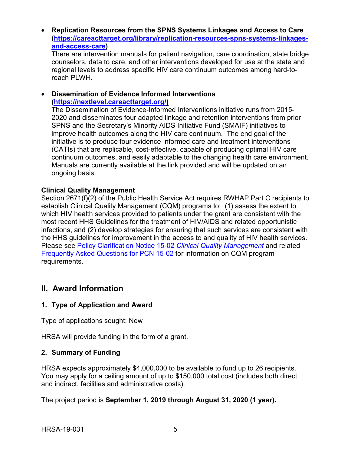• **Replication Resources from the SPNS Systems Linkages and Access to Care [\(https://careacttarget.org/library/replication-resources-spns-systems-linkages](https://careacttarget.org/library/replication-resources-spns-systems-linkages-and-access-care)[and-access-care\)](https://careacttarget.org/library/replication-resources-spns-systems-linkages-and-access-care)** 

There are intervention manuals for patient navigation, care coordination, state bridge counselors, data to care, and other interventions developed for use at the state and regional levels to address specific HIV care continuum outcomes among hard-toreach PLWH.

#### • **Dissemination of Evidence Informed Interventions [\(https://nextlevel.careacttarget.org/\)](https://nextlevel.careacttarget.org/)**

The Dissemination of Evidence-Informed Interventions initiative runs from 2015- 2020 and disseminates four adapted linkage and retention interventions from prior SPNS and the Secretary's Minority AIDS Initiative Fund (SMAIF) initiatives to improve health outcomes along the HIV care continuum. The end goal of the initiative is to produce four evidence-informed care and treatment interventions (CATIs) that are replicable, cost-effective, capable of producing optimal HIV care continuum outcomes, and easily adaptable to the changing health care environment. Manuals are currently available at the link provided and will be updated on an ongoing basis.

#### **Clinical Quality Management**

Section 2671(f)(2) of the Public Health Service Act requires RWHAP Part C recipients to establish Clinical Quality Management (CQM) programs to: (1) assess the extent to which HIV health services provided to patients under the grant are consistent with the most recent HHS Guidelines for the treatment of HIV/AIDS and related opportunistic infections, and (2) develop strategies for ensuring that such services are consistent with the HHS guidelines for improvement in the access to and quality of HIV health services. Please see [Policy Clarification Notice 15-02](https://hab.hrsa.gov/program-grants-management/policy-notices-and-program-letters) *Clinical Quality Management* and related [Frequently Asked Questions for PCN 15-02](https://hab.hrsa.gov/program-grants-management/policy-notices-and-program-letters) for information on CQM program requirements.

# <span id="page-8-0"></span>**II. Award Information**

# <span id="page-8-1"></span>**1. Type of Application and Award**

Type of applications sought: New

HRSA will provide funding in the form of a grant.

# <span id="page-8-2"></span>**2. Summary of Funding**

HRSA expects approximately \$4,000,000 to be available to fund up to 26 recipients. You may apply for a ceiling amount of up to \$150,000 total cost (includes both direct and indirect, facilities and administrative costs).

The project period is **September 1, 2019 through August 31, 2020 (1 year).**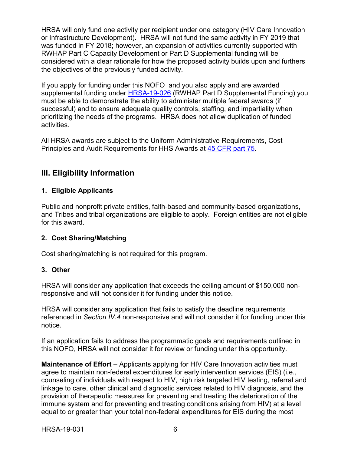HRSA will only fund one activity per recipient under one category (HIV Care Innovation or Infrastructure Development). HRSA will not fund the same activity in FY 2019 that was funded in FY 2018; however, an expansion of activities currently supported with RWHAP Part C Capacity Development or Part D Supplemental funding will be considered with a clear rationale for how the proposed activity builds upon and furthers the objectives of the previously funded activity.

If you apply for funding under this NOFO and you also apply and are awarded supplemental funding under [HRSA-19-026](https://www.hrsa.gov/grants/fundingopportunities/default.aspx?id=3285c03f-e743-4a5a-9f6e-7fe0161d951a) (RWHAP Part D Supplemental Funding) you must be able to demonstrate the ability to administer multiple federal awards (if successful) and to ensure adequate quality controls, staffing, and impartiality when prioritizing the needs of the programs. HRSA does not allow duplication of funded activities.

All HRSA awards are subject to the Uniform Administrative Requirements, Cost Principles and Audit Requirements for HHS Awards at [45 CFR part 75.](http://www.ecfr.gov/cgi-bin/retrieveECFR?gp=1&SID=4d52364ec83fab994c665943dadf9cf7&ty=HTML&h=L&r=PART&n=pt45.1.75)

# <span id="page-9-0"></span>**III. Eligibility Information**

# **1. Eligible Applicants**

Public and nonprofit private entities, faith-based and community-based organizations, and Tribes and tribal organizations are eligible to apply. Foreign entities are not eligible for this award.

# **2. Cost Sharing/Matching**

Cost sharing/matching is not required for this program.

# **3. Other**

HRSA will consider any application that exceeds the ceiling amount of \$150,000 nonresponsive and will not consider it for funding under this notice.

HRSA will consider any application that fails to satisfy the deadline requirements referenced in *Section IV.4* non-responsive and will not consider it for funding under this notice.

If an application fails to address the programmatic goals and requirements outlined in this NOFO, HRSA will not consider it for review or funding under this opportunity.

**Maintenance of Effort** *–* Applicants applying for HIV Care Innovation activities must agree to maintain non-federal expenditures for early intervention services (EIS) (i.e., counseling of individuals with respect to HIV, high risk targeted HIV testing, referral and linkage to care, other clinical and diagnostic services related to HIV diagnosis, and the provision of therapeutic measures for preventing and treating the deterioration of the immune system and for preventing and treating conditions arising from HIV) at a level equal to or greater than your total non-federal expenditures for EIS during the most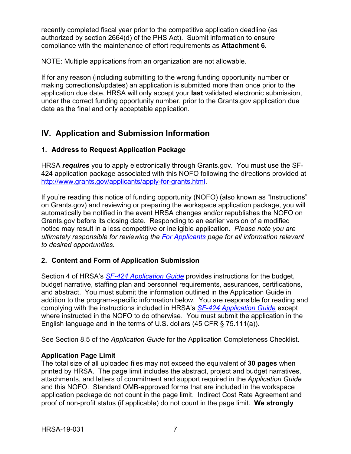recently completed fiscal year prior to the competitive application deadline (as authorized by section 2664(d) of the PHS Act). Submit information to ensure compliance with the maintenance of effort requirements as **Attachment 6.** 

NOTE: Multiple applications from an organization are not allowable.

If for any reason (including submitting to the wrong funding opportunity number or making corrections/updates) an application is submitted more than once prior to the application due date, HRSA will only accept your **last** validated electronic submission, under the correct funding opportunity number, prior to the Grants.gov application due date as the final and only acceptable application.

# <span id="page-10-0"></span>**IV. Application and Submission Information**

# <span id="page-10-1"></span>**1. Address to Request Application Package**

HRSA *requires* you to apply electronically through Grants.gov. You must use the SF-424 application package associated with this NOFO following the directions provided at [http://www.grants.gov/applicants/apply-for-grants.html.](http://www.grants.gov/applicants/apply-for-grants.html)

If you're reading this notice of funding opportunity (NOFO) (also known as "Instructions" on Grants.gov) and reviewing or preparing the workspace application package, you will automatically be notified in the event HRSA changes and/or republishes the NOFO on Grants.gov before its closing date. Responding to an earlier version of a modified notice may result in a less competitive or ineligible application. *Please note you are ultimately responsible for reviewing the [For Applicants](https://www.grants.gov/web/grants/applicants.html) page for all information relevant to desired opportunities.*

# <span id="page-10-2"></span>**2. Content and Form of Application Submission**

Section 4 of HRSA's *SF-424 [Application Guide](http://www.hrsa.gov/grants/apply/applicationguide/sf424guide.pdf)* provides instructions for the budget, budget narrative, staffing plan and personnel requirements, assurances, certifications, and abstract. You must submit the information outlined in the Application Guide in addition to the program-specific information below. You are responsible for reading and complying with the instructions included in HRSA's *SF-424 [Application Guide](http://www.hrsa.gov/grants/apply/applicationguide/sf424guide.pdf)* except where instructed in the NOFO to do otherwise. You must submit the application in the English language and in the terms of U.S. dollars (45 CFR § 75.111(a)).

See Section 8.5 of the *Application Guide* for the Application Completeness Checklist.

# **Application Page Limit**

The total size of all uploaded files may not exceed the equivalent of **30 pages** when printed by HRSA. The page limit includes the abstract, project and budget narratives, attachments, and letters of commitment and support required in the *Application Guide* and this NOFO. Standard OMB-approved forms that are included in the workspace application package do not count in the page limit. Indirect Cost Rate Agreement and proof of non-profit status (if applicable) do not count in the page limit. **We strongly**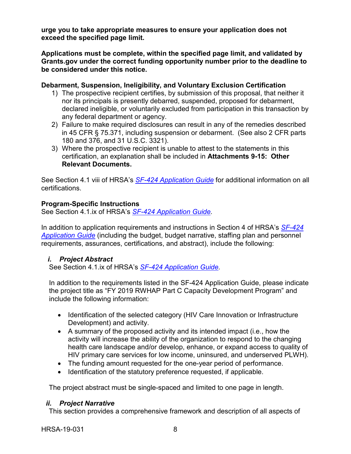**urge you to take appropriate measures to ensure your application does not exceed the specified page limit.**

**Applications must be complete, within the specified page limit, and validated by Grants.gov under the correct funding opportunity number prior to the deadline to be considered under this notice.**

#### **Debarment, Suspension, Ineligibility, and Voluntary Exclusion Certification**

- 1) The prospective recipient certifies, by submission of this proposal, that neither it nor its principals is presently debarred, suspended, proposed for debarment, declared ineligible, or voluntarily excluded from participation in this transaction by any federal department or agency.
- 2) Failure to make required disclosures can result in any of the remedies described in 45 CFR § 75.371, including suspension or debarment. (See also 2 CFR parts 180 and 376, and 31 U.S.C. 3321).
- 3) Where the prospective recipient is unable to attest to the statements in this certification, an explanation shall be included in **Attachments 9-15: Other Relevant Documents.**

See Section 4.1 viii of HRSA's *SF-424 [Application Guide](http://www.hrsa.gov/grants/apply/applicationguide/sf424guide.pdf)* for additional information on all certifications.

# **Program-Specific Instructions**

See Section 4.1.ix of HRSA's *SF-424 [Application Guide.](http://www.hrsa.gov/grants/apply/applicationguide/sf424guide.pdf)*

In addition to application requirements and instructions in Section 4 of HRSA's *[SF-424](http://www.hrsa.gov/grants/apply/applicationguide/sf424guide.pdf) [Application Guide](http://www.hrsa.gov/grants/apply/applicationguide/sf424guide.pdf)* (including the budget, budget narrative, staffing plan and personnel requirements, assurances, certifications, and abstract), include the following:

# <span id="page-11-0"></span>*i. Project Abstract*

See Section 4.1.ix of HRSA's *SF-424 [Application Guide.](http://www.hrsa.gov/grants/apply/applicationguide/sf424guide.pdf)*

In addition to the requirements listed in the SF-424 Application Guide, please indicate the project title as "FY 2019 RWHAP Part C Capacity Development Program" and include the following information:

- Identification of the selected category (HIV Care Innovation or Infrastructure Development) and activity.
- A summary of the proposed activity and its intended impact (i.e., how the activity will increase the ability of the organization to respond to the changing health care landscape and/or develop, enhance, or expand access to quality of HIV primary care services for low income, uninsured, and underserved PLWH).
- The funding amount requested for the one-year period of performance.
- Identification of the statutory preference requested, if applicable.

The project abstract must be single-spaced and limited to one page in length.

#### <span id="page-11-1"></span>*ii. Project Narrative*

This section provides a comprehensive framework and description of all aspects of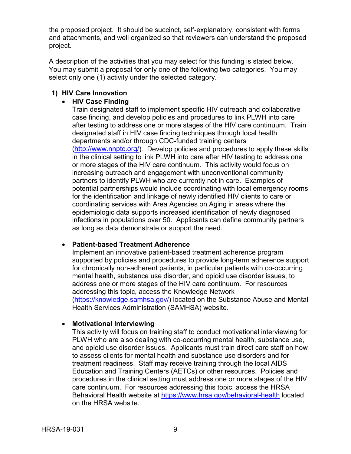the proposed project. It should be succinct, self-explanatory, consistent with forms and attachments, and well organized so that reviewers can understand the proposed project.

A description of the activities that you may select for this funding is stated below. You may submit a proposal for only one of the following two categories. You may select only one (1) activity under the selected category.

#### **1) HIV Care Innovation**

#### • **HIV Case Finding**

Train designated staff to implement specific HIV outreach and collaborative case finding, and develop policies and procedures to link PLWH into care after testing to address one or more stages of the HIV care continuum. Train designated staff in HIV case finding techniques through local health departments and/or through CDC-funded training centers [\(http://www.nnptc.org/\)](http://www.nnptc.org/). Develop policies and procedures to apply these skills in the clinical setting to link PLWH into care after HIV testing to address one or more stages of the HIV care continuum. This activity would focus on increasing outreach and engagement with unconventional community partners to identify PLWH who are currently not in care. Examples of potential partnerships would include coordinating with local emergency rooms for the identification and linkage of newly identified HIV clients to care or coordinating services with Area Agencies on Aging in areas where the epidemiologic data supports increased identification of newly diagnosed infections in populations over 50. Applicants can define community partners as long as data demonstrate or support the need.

#### • **Patient-based Treatment Adherence**

Implement an innovative patient-based treatment adherence program supported by policies and procedures to provide long-term adherence support for chronically non-adherent patients, in particular patients with co-occurring mental health, substance use disorder, and opioid use disorder issues, to address one or more stages of the HIV care continuum. For resources addressing this topic, access the Knowledge Network [\(https://knowledge.samhsa.gov/\)](https://knowledge.samhsa.gov/) located on the Substance Abuse and Mental Health Services Administration (SAMHSA) website.

#### • **Motivational Interviewing**

This activity will focus on training staff to conduct motivational interviewing for PLWH who are also dealing with co-occurring mental health, substance use, and opioid use disorder issues. Applicants must train direct care staff on how to assess clients for mental health and substance use disorders and for treatment readiness. Staff may receive training through the local AIDS Education and Training Centers (AETCs) or other resources. Policies and procedures in the clinical setting must address one or more stages of the HIV care continuum. For resources addressing this topic, access the HRSA Behavioral Health website at <https://www.hrsa.gov/behavioral-health> located on the HRSA website.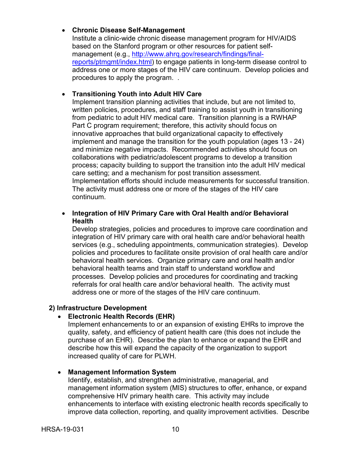#### • **Chronic Disease Self-Management**

Institute a clinic-wide chronic disease management program for HIV/AIDS based on the Stanford program or other resources for patient selfmanagement (e.g., [http://www.ahrq.gov/research/findings/final](http://www.ahrq.gov/research/findings/final-reports/ptmgmt/index.html)[reports/ptmgmt/index.html\)](http://www.ahrq.gov/research/findings/final-reports/ptmgmt/index.html) to engage patients in long-term disease control to address one or more stages of the HIV care continuum. Develop policies and procedures to apply the program. .

# • **Transitioning Youth into Adult HIV Care**

Implement transition planning activities that include, but are not limited to, written policies, procedures, and staff training to assist youth in transitioning from pediatric to adult HIV medical care. Transition planning is a RWHAP Part C program requirement; therefore, this activity should focus on innovative approaches that build organizational capacity to effectively implement and manage the transition for the youth population (ages 13 - 24) and minimize negative impacts. Recommended activities should focus on collaborations with pediatric/adolescent programs to develop a transition process; capacity building to support the transition into the adult HIV medical care setting; and a mechanism for post transition assessment. Implementation efforts should include measurements for successful transition. The activity must address one or more of the stages of the HIV care continuum.

#### • **Integration of HIV Primary Care with Oral Health and/or Behavioral Health**

Develop strategies, policies and procedures to improve care coordination and integration of HIV primary care with oral health care and/or behavioral health services (e.g., scheduling appointments, communication strategies). Develop policies and procedures to facilitate onsite provision of oral health care and/or behavioral health services. Organize primary care and oral health and/or behavioral health teams and train staff to understand workflow and processes. Develop policies and procedures for coordinating and tracking referrals for oral health care and/or behavioral health. The activity must address one or more of the stages of the HIV care continuum.

#### **2) Infrastructure Development**

# • **Electronic Health Records (EHR)**

Implement enhancements to or an expansion of existing EHRs to improve the quality, safety, and efficiency of patient health care (this does not include the purchase of an EHR). Describe the plan to enhance or expand the EHR and describe how this will expand the capacity of the organization to support increased quality of care for PLWH.

# • **Management Information System**

Identify, establish, and strengthen administrative, managerial, and management information system (MIS) structures to offer, enhance, or expand comprehensive HIV primary health care. This activity may include enhancements to interface with existing electronic health records specifically to improve data collection, reporting, and quality improvement activities. Describe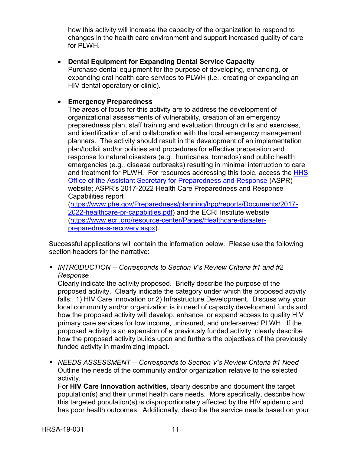how this activity will increase the capacity of the organization to respond to changes in the health care environment and support increased quality of care for PLWH.

• **Dental Equipment for Expanding Dental Service Capacity**  Purchase dental equipment for the purpose of developing, enhancing, or expanding oral health care services to PLWH (i.e., creating or expanding an HIV dental operatory or clinic).

# • **Emergency Preparedness**

The areas of focus for this activity are to address the development of organizational assessments of vulnerability, creation of an emergency preparedness plan, staff training and evaluation through drills and exercises, and identification of and collaboration with the local emergency management planners. The activity should result in the development of an implementation plan/toolkit and/or policies and procedures for effective preparation and response to natural disasters (e.g., hurricanes, tornados) and public health emergencies (e.g., disease outbreaks) resulting in minimal interruption to care and treatment for PLWH. For resources addressing this topic, access the HHS [Office of the Assistant Secretary for Preparedness and Response](https://www.phe.gov/about/aspr/Pages/default.aspx) (ASPR) website; ASPR's 2017-2022 Health Care Preparedness and Response Capabilities report

[\(https://www.phe.gov/Preparedness/planning/hpp/reports/Documents/2017-](https://www.phe.gov/Preparedness/planning/hpp/reports/Documents/2017-2022-healthcare-pr-capablities.pdf) [2022-healthcare-pr-capablities.pdf\)](https://www.phe.gov/Preparedness/planning/hpp/reports/Documents/2017-2022-healthcare-pr-capablities.pdf) and the ECRI Institute website [\(https://www.ecri.org/resource-center/Pages/Healthcare-disaster](https://www.ecri.org/resource-center/Pages/Healthcare-disaster-preparedness-recovery.aspx)[preparedness-recovery.aspx\)](https://www.ecri.org/resource-center/Pages/Healthcare-disaster-preparedness-recovery.aspx).

Successful applications will contain the information below. Please use the following section headers for the narrative:

 *INTRODUCTION -- Corresponds to Section V's Review Criteria #1 and #2 Response* 

Clearly indicate the activity proposed. Briefly describe the purpose of the proposed activity. Clearly indicate the category under which the proposed activity falls: 1) HIV Care Innovation or 2) Infrastructure Development. Discuss why your local community and/or organization is in need of capacity development funds and how the proposed activity will develop, enhance, or expand access to quality HIV primary care services for low income, uninsured, and underserved PLWH. If the proposed activity is an expansion of a previously funded activity, clearly describe how the proposed activity builds upon and furthers the objectives of the previously funded activity in maximizing impact.

 *NEEDS ASSESSMENT -- Corresponds to Section V's Review Criteria #1 Need* Outline the needs of the community and/or organization relative to the selected activity.

For **HIV Care Innovation activities**, clearly describe and document the target population(s) and their unmet health care needs. More specifically, describe how this targeted population(s) is disproportionately affected by the HIV epidemic and has poor health outcomes. Additionally, describe the service needs based on your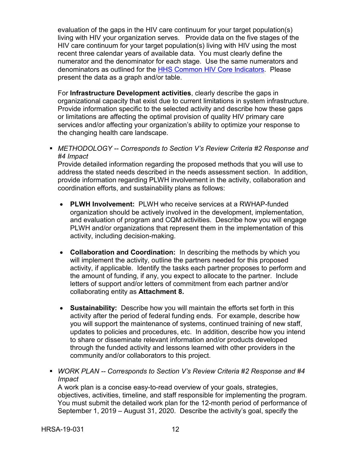evaluation of the gaps in the HIV care continuum for your target population(s) living with HIV your organization serves. Provide data on the five stages of the HIV care continuum for your target population(s) living with HIV using the most recent three calendar years of available data. You must clearly define the numerator and the denominator for each stage. Use the same numerators and denominators as outlined for the [HHS Common HIV Core Indicators.](https://www.hiv.gov/blog/secretary-sebelius-approves-indicators-for-monitoring-hhs-funded-hiv-services) Please present the data as a graph and/or table.

For **Infrastructure Development activities**, clearly describe the gaps in organizational capacity that exist due to current limitations in system infrastructure. Provide information specific to the selected activity and describe how these gaps or limitations are affecting the optimal provision of quality HIV primary care services and/or affecting your organization's ability to optimize your response to the changing health care landscape.

 *METHODOLOGY -- Corresponds to Section V's Review Criteria #2 Response and #4 Impact*

Provide detailed information regarding the proposed methods that you will use to address the stated needs described in the needs assessment section. In addition, provide information regarding PLWH involvement in the activity, collaboration and coordination efforts, and sustainability plans as follows:

- **PLWH Involvement:** PLWH who receive services at a RWHAP-funded organization should be actively involved in the development, implementation, and evaluation of program and CQM activities. Describe how you will engage PLWH and/or organizations that represent them in the implementation of this activity, including decision-making.
- **Collaboration and Coordination:** In describing the methods by which you will implement the activity, outline the partners needed for this proposed activity, if applicable. Identify the tasks each partner proposes to perform and the amount of funding, if any, you expect to allocate to the partner. Include letters of support and/or letters of commitment from each partner and/or collaborating entity as **Attachment 8.**
- **Sustainability:** Describe how you will maintain the efforts set forth in this activity after the period of federal funding ends. For example, describe how you will support the maintenance of systems, continued training of new staff, updates to policies and procedures, etc. In addition, describe how you intend to share or disseminate relevant information and/or products developed through the funded activity and lessons learned with other providers in the community and/or collaborators to this project.
- *WORK PLAN -- Corresponds to Section V's Review Criteria* #*2 Response and #4 Impact*

A work plan is a concise easy-to-read overview of your goals, strategies, objectives, activities, timeline, and staff responsible for implementing the program. You must submit the detailed work plan for the 12-month period of performance of September 1, 2019 – August 31, 2020. Describe the activity's goal, specify the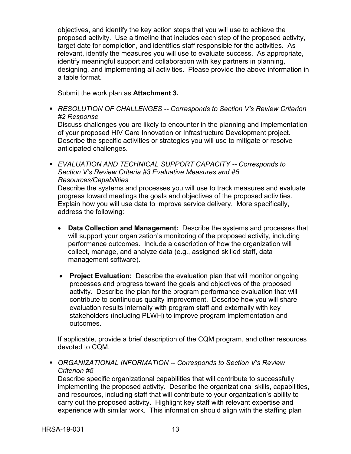objectives, and identify the key action steps that you will use to achieve the proposed activity. Use a timeline that includes each step of the proposed activity, target date for completion, and identifies staff responsible for the activities. As relevant, identify the measures you will use to evaluate success. As appropriate, identify meaningful support and collaboration with key partners in planning, designing, and implementing all activities. Please provide the above information in a table format.

Submit the work plan as **Attachment 3.**

 *RESOLUTION OF CHALLENGES -- Corresponds to Section V's Review Criterion #2 Response*  Discuss challenges you are likely to encounter in the planning and implementation

of your proposed HIV Care Innovation or Infrastructure Development project. Describe the specific activities or strategies you will use to mitigate or resolve anticipated challenges.

 *EVALUATION AND TECHNICAL SUPPORT CAPACITY -- Corresponds to Section V's Review Criteria #3 Evaluative Measures and #5 Resources/Capabilities*

Describe the systems and processes you will use to track measures and evaluate progress toward meetings the goals and objectives of the proposed activities. Explain how you will use data to improve service delivery. More specifically, address the following:

- **Data Collection and Management:** Describe the systems and processes that will support your organization's monitoring of the proposed activity, including performance outcomes. Include a description of how the organization will collect, manage, and analyze data (e.g., assigned skilled staff, data management software).
- **Project Evaluation:** Describe the evaluation plan that will monitor ongoing processes and progress toward the goals and objectives of the proposed activity. Describe the plan for the program performance evaluation that will contribute to continuous quality improvement. Describe how you will share evaluation results internally with program staff and externally with key stakeholders (including PLWH) to improve program implementation and outcomes.

If applicable, provide a brief description of the CQM program, and other resources devoted to CQM.

 *ORGANIZATIONAL INFORMATION -- Corresponds to Section V's Review Criterion #5*

Describe specific organizational capabilities that will contribute to successfully implementing the proposed activity. Describe the organizational skills, capabilities, and resources, including staff that will contribute to your organization's ability to carry out the proposed activity. Highlight key staff with relevant expertise and experience with similar work. This information should align with the staffing plan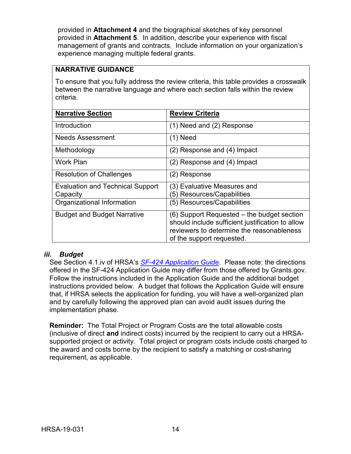provided in **Attachment 4** and the biographical sketches of key personnel provided in **Attachment 5**. In addition, describe your experience with fiscal management of grants and contracts. Include information on your organization's experience managing multiple federal grants.

# **NARRATIVE GUIDANCE**

To ensure that you fully address the review criteria, this table provides a crosswalk between the narrative language and where each section falls within the review criteria.

| <b>Narrative Section</b>                | <b>Review Criteria</b>                           |
|-----------------------------------------|--------------------------------------------------|
| Introduction                            | (1) Need and (2) Response                        |
| <b>Needs Assessment</b>                 | $(1)$ Need                                       |
| Methodology                             | $(2)$ Response and $(4)$ Impact                  |
| <b>Work Plan</b>                        | (2) Response and (4) Impact                      |
| <b>Resolution of Challenges</b>         | (2) Response                                     |
| <b>Evaluation and Technical Support</b> | (3) Evaluative Measures and                      |
| Capacity                                | (5) Resources/Capabilities                       |
| Organizational Information              | (5) Resources/Capabilities                       |
| <b>Budget and Budget Narrative</b>      | (6) Support Requested – the budget section       |
|                                         | should include sufficient justification to allow |
|                                         | reviewers to determine the reasonableness        |
|                                         | of the support requested.                        |

#### <span id="page-17-0"></span>*iii. Budget*

See Section 4.1.iv of HRSA's *SF-424 [Application Guide.](http://www.hrsa.gov/grants/apply/applicationguide/sf424guide.pdf)* Please note: the directions offered in the SF-424 Application Guide may differ from those offered by Grants.gov. Follow the instructions included in the Application Guide and the additional budget instructions provided below. A budget that follows the Application Guide will ensure that, if HRSA selects the application for funding, you will have a well-organized plan and by carefully following the approved plan can avoid audit issues during the implementation phase.

**Reminder:** The Total Project or Program Costs are the total allowable costs (inclusive of direct **and** indirect costs) incurred by the recipient to carry out a HRSAsupported project or activity. Total project or program costs include costs charged to the award and costs borne by the recipient to satisfy a matching or cost-sharing requirement, as applicable.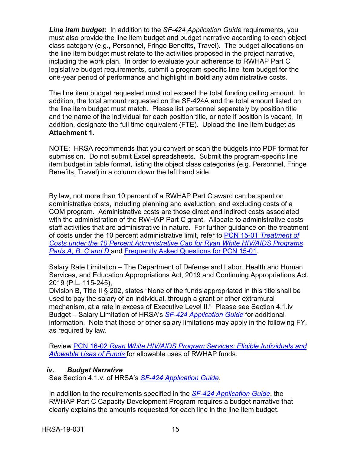*Line item budget:* In addition to the *SF-424 Application Guide* requirements, you must also provide the line item budget and budget narrative according to each object class category (e.g., Personnel, Fringe Benefits, Travel). The budget allocations on the line item budget must relate to the activities proposed in the project narrative, including the work plan. In order to evaluate your adherence to RWHAP Part C legislative budget requirements, submit a program-specific line item budget for the one-year period of performance and highlight in **bold** any administrative costs.

The line item budget requested must not exceed the total funding ceiling amount. In addition, the total amount requested on the SF-424A and the total amount listed on the line item budget must match. Please list personnel separately by position title and the name of the individual for each position title, or note if position is vacant. In addition, designate the full time equivalent (FTE). Upload the line item budget as **Attachment 1**.

NOTE: HRSA recommends that you convert or scan the budgets into PDF format for submission. Do not submit Excel spreadsheets. Submit the program-specific line item budget in table format, listing the object class categories (e.g. Personnel, Fringe Benefits, Travel) in a column down the left hand side.

By law, not more than 10 percent of a RWHAP Part C award can be spent on administrative costs, including planning and evaluation, and excluding costs of a CQM program. Administrative costs are those direct and indirect costs associated with the administration of the RWHAP Part C grant. Allocate to administrative costs staff activities that are administrative in nature. For further guidance on the treatment of costs under the 10 percent administrative limit, refer to PCN 15-01 *[Treatment of](https://hab.hrsa.gov/program-grants-management/policy-notices-and-program-letters) [Costs under the 10 Percent Administrative Cap for Ryan White HIV/AIDS Programs](https://hab.hrsa.gov/program-grants-management/policy-notices-and-program-letters)* **[Parts A, B. C and D](https://hab.hrsa.gov/program-grants-management/policy-notices-and-program-letters) and [Frequently Asked Questions for PCN 15-01.](https://hab.hrsa.gov/program-grants-management/policy-notices-and-program-letters)** 

Salary Rate Limitation – The Department of Defense and Labor, Health and Human Services, and Education Appropriations Act, 2019 and Continuing Appropriations Act, 2019 (P.L. 115-245),

Division B, Title II § 202, states "None of the funds appropriated in this title shall be used to pay the salary of an individual, through a grant or other extramural mechanism, at a rate in excess of Executive Level II." Please see Section 4.1.iv Budget – Salary Limitation of HRSA's *[SF-424 Application Guide](http://www.hrsa.gov/grants/apply/applicationguide/sf424guide.pdf)* for additional information. Note that these or other salary limitations may apply in the following FY, as required by law.

Review PCN 16-02 *[Ryan White HIV/AIDS Program Services: Eligible Individuals and](https://hab.hrsa.gov/program-grants-management/policy-notices-and-program-letters) [Allowable Uses of Funds](https://hab.hrsa.gov/program-grants-management/policy-notices-and-program-letters)* for allowable uses of RWHAP funds.

# <span id="page-18-0"></span>*iv. Budget Narrative*

See Section 4.1.v. of HRSA's *SF-424 [Application Guide.](http://www.hrsa.gov/grants/apply/applicationguide/sf424guide.pdf)*

In addition to the requirements specified in the *[SF-424 Application Guide](http://www.hrsa.gov/grants/apply/applicationguide/sf424guide.pdf)*, the RWHAP Part C Capacity Development Program requires a budget narrative that clearly explains the amounts requested for each line in the line item budget.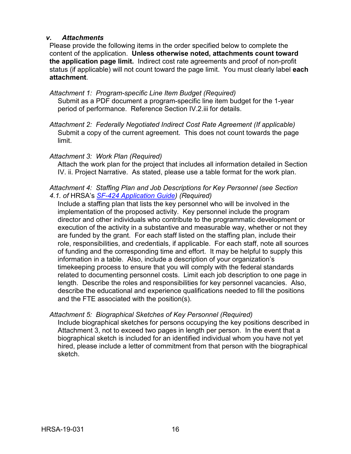#### <span id="page-19-0"></span>*v. Attachments*

Please provide the following items in the order specified below to complete the content of the application. **Unless otherwise noted, attachments count toward the application page limit.** Indirect cost rate agreements and proof of non-profit status (if applicable) will not count toward the page limit. You must clearly label **each attachment**.

*Attachment 1: Program-specific Line Item Budget (Required)*  Submit as a PDF document a program-specific line item budget for the 1-year period of performance. Reference Section IV.2.iii for details.

*Attachment 2: Federally Negotiated Indirect Cost Rate Agreement (If applicable)*  Submit a copy of the current agreement. This does not count towards the page limit.

#### *Attachment 3: Work Plan (Required)*

Attach the work plan for the project that includes all information detailed in Section IV. ii. Project Narrative. As stated, please use a table format for the work plan.

#### *Attachment 4: Staffing Plan and Job Descriptions for Key Personnel (see Section 4.1. of* HRSA's *[SF-424 Application Guide\)](http://www.hrsa.gov/grants/apply/applicationguide/sf424guide.pdf) (Required)*

Include a staffing plan that lists the key personnel who will be involved in the implementation of the proposed activity. Key personnel include the program director and other individuals who contribute to the programmatic development or execution of the activity in a substantive and measurable way, whether or not they are funded by the grant. For each staff listed on the staffing plan, include their role, responsibilities, and credentials, if applicable. For each staff, note all sources of funding and the corresponding time and effort. It may be helpful to supply this information in a table. Also, include a description of your organization's timekeeping process to ensure that you will comply with the federal standards related to documenting personnel costs. Limit each job description to one page in length. Describe the roles and responsibilities for key personnel vacancies. Also, describe the educational and experience qualifications needed to fill the positions and the FTE associated with the position(s).

#### *Attachment 5: Biographical Sketches of Key Personnel (Required)*

Include biographical sketches for persons occupying the key positions described in Attachment 3, not to exceed two pages in length per person. In the event that a biographical sketch is included for an identified individual whom you have not yet hired, please include a letter of commitment from that person with the biographical sketch.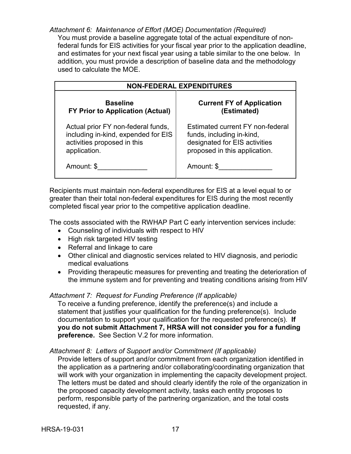*Attachment 6: Maintenance of Effort (MOE) Documentation (Required)* You must provide a baseline aggregate total of the actual expenditure of nonfederal funds for EIS activities for your fiscal year prior to the application deadline, and estimates for your next fiscal year using a table similar to the one below. In addition, you must provide a description of baseline data and the methodology used to calculate the MOE.

| <b>NON-FEDERAL EXPENDITURES</b>         |                                  |  |
|-----------------------------------------|----------------------------------|--|
| <b>Baseline</b>                         | <b>Current FY of Application</b> |  |
| <b>FY Prior to Application (Actual)</b> | (Estimated)                      |  |
| Actual prior FY non-federal funds,      | Estimated current FY non-federal |  |
| including in-kind, expended for EIS     | funds, including in-kind,        |  |
| activities proposed in this             | designated for EIS activities    |  |
| application.                            | proposed in this application.    |  |
| Amount: \$                              | Amount: \$                       |  |

Recipients must maintain non-federal expenditures for EIS at a level equal to or greater than their total non-federal expenditures for EIS during the most recently completed fiscal year prior to the competitive application deadline.

The costs associated with the RWHAP Part C early intervention services include:

- Counseling of individuals with respect to HIV
- High risk targeted HIV testing
- Referral and linkage to care
- Other clinical and diagnostic services related to HIV diagnosis, and periodic medical evaluations
- Providing therapeutic measures for preventing and treating the deterioration of the immune system and for preventing and treating conditions arising from HIV

# *Attachment 7: Request for Funding Preference (If applicable)*

To receive a funding preference, identify the preference(s) and include a statement that justifies your qualification for the funding preference(s). Include documentation to support your qualification for the requested preference(s). **If you do not submit Attachment 7, HRSA will not consider you for a funding preference.** See Section V.2 for more information.

#### *Attachment 8: Letters of Support and/or Commitment (If applicable)*

Provide letters of support and/or commitment from each organization identified in the application as a partnering and/or collaborating/coordinating organization that will work with your organization in implementing the capacity development project. The letters must be dated and should clearly identify the role of the organization in the proposed capacity development activity, tasks each entity proposes to perform, responsible party of the partnering organization, and the total costs requested, if any.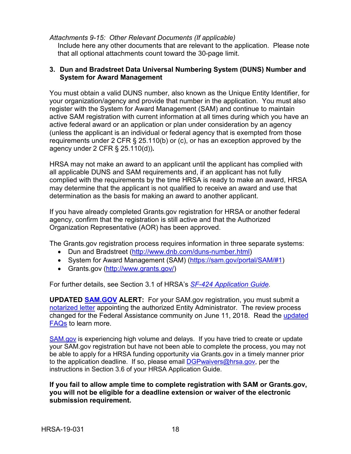#### *Attachments 9-15: Other Relevant Documents (If applicable)*

Include here any other documents that are relevant to the application. Please note that all optional attachments count toward the 30-page limit.

#### **3. Dun and Bradstreet Data Universal Numbering System (DUNS) Number and System for Award Management**

You must obtain a valid DUNS number, also known as the Unique Entity Identifier, for your organization/agency and provide that number in the application. You must also register with the System for Award Management (SAM) and continue to maintain active SAM registration with current information at all times during which you have an active federal award or an application or plan under consideration by an agency (unless the applicant is an individual or federal agency that is exempted from those requirements under 2 CFR § 25.110(b) or (c), or has an exception approved by the agency under 2 CFR § 25.110(d))**.** 

HRSA may not make an award to an applicant until the applicant has complied with all applicable DUNS and SAM requirements and, if an applicant has not fully complied with the requirements by the time HRSA is ready to make an award, HRSA may determine that the applicant is not qualified to receive an award and use that determination as the basis for making an award to another applicant.

If you have already completed Grants.gov registration for HRSA or another federal agency, confirm that the registration is still active and that the Authorized Organization Representative (AOR) has been approved.

The Grants.gov registration process requires information in three separate systems:

- Dun and Bradstreet [\(http://www.dnb.com/duns-number.html\)](http://www.dnb.com/duns-number.html)
- System for Award Management (SAM) [\(https://sam.gov/portal/SAM/#1\)](https://sam.gov/portal/SAM/#1)
- Grants.gov [\(http://www.grants.gov/\)](http://www.grants.gov/)

For further details, see Section 3.1 of HRSA's *SF-424 [Application Guide.](http://www.hrsa.gov/grants/apply/applicationguide/sf424guide.pdf)*

**UPDATED [SAM.GOV](https://sam.gov/) ALERT:** For your SAM.gov registration, you must submit a [notarized letter](https://www.fsd.gov/fsd-gov/answer.do?sysparm_kbid=d2e67885db0d5f00b3257d321f96194b&sysparm_search=kb0013183) appointing the authorized Entity Administrator. The review process changed for the Federal Assistance community on June 11, 2018. Read the [updated](https://www.gsa.gov/about-us/organization/federal-acquisition-service/office-of-systems-management/integrated-award-environment-iae/sam-update)  [FAQs](https://www.gsa.gov/about-us/organization/federal-acquisition-service/office-of-systems-management/integrated-award-environment-iae/sam-update) to learn more.

[SAM.gov](https://sam.gov/portal/SAM/) is experiencing high volume and delays. If you have tried to create or update your SAM.gov registration but have not been able to complete the process, you may not be able to apply for a HRSA funding opportunity via Grants.gov in a timely manner prior to the application deadline. If so, please email **DGPwaivers@hrsa.gov**, per the instructions in Section 3.6 of your HRSA Application Guide.

**If you fail to allow ample time to complete registration with SAM or Grants.gov, you will not be eligible for a deadline extension or waiver of the electronic submission requirement.**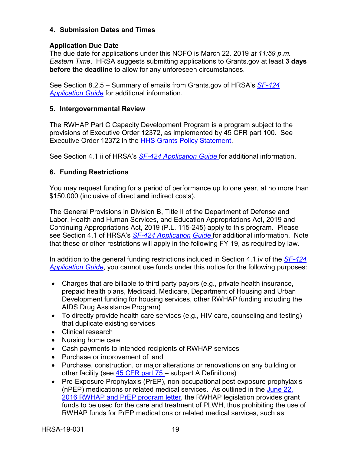#### **4. Submission Dates and Times**

#### **Application Due Date**

The due date for applications under this NOFO is March 22*,* 2019 *at 11:59 p.m. Eastern Time*. HRSA suggests submitting applications to Grants.gov at least **3 days before the deadline** to allow for any unforeseen circumstances.

See Section 8.2.5 – Summary of emails from Grants.gov of HRSA's *[SF-424](http://www.hrsa.gov/grants/apply/applicationguide/sf424guide.pdf)  [Application Guide](http://www.hrsa.gov/grants/apply/applicationguide/sf424guide.pdf)* for additional information.

#### **5. Intergovernmental Review**

The RWHAP Part C Capacity Development Program is a program subject to the provisions of Executive Order 12372, as implemented by 45 CFR part 100. See Executive Order 12372 in the [HHS Grants Policy Statement.](http://www.hrsa.gov/grants/hhsgrantspolicy.pdf)

See Section 4.1 ii of HRSA's *[SF-424 Application Guide](http://www.hrsa.gov/grants/apply/applicationguide/sf424guide.pdf)* for additional information.

# **6. Funding Restrictions**

You may request funding for a period of performance up to one year, at no more than \$150,000 (inclusive of direct **and** indirect costs).

The General Provisions in Division B, Title II of the Department of Defense and Labor, Health and Human Services, and Education Appropriations Act, 2019 and Continuing Appropriations Act, 2019 (P.L. 115-245) apply to this program. Please see Section 4.1 of HRSA's *[SF-424 Application](http://www.hrsa.gov/grants/apply/applicationguide/sf424guide.pdf) [Guide](http://www.hrsa.gov/grants/apply/applicationguide/sf424guide.pdf)* for additional information. Note that these or other restrictions will apply in the following FY 19, as required by law.

In addition to the general funding restrictions included in Section 4.1.iv of the *[SF-424](http://www.hrsa.gov/grants/apply/applicationguide/sf424guide.pdf) [Application Guide](http://www.hrsa.gov/grants/apply/applicationguide/sf424guide.pdf)*, you cannot use funds under this notice for the following purposes:

- Charges that are billable to third party payors (e.g., private health insurance, prepaid health plans, Medicaid, Medicare, Department of Housing and Urban Development funding for housing services, other RWHAP funding including the AIDS Drug Assistance Program)
- To directly provide health care services (e.g., HIV care, counseling and testing) that duplicate existing services
- Clinical research
- Nursing home care
- Cash payments to intended recipients of RWHAP services
- Purchase or improvement of land
- Purchase, construction, or major alterations or renovations on any building or other facility (see [45 CFR part 75 –](http://www.ecfr.gov/cgi-bin/retrieveECFR?gp=1&SID=4d52364ec83fab994c665943dadf9cf7&ty=HTML&h=L&r=PART&n=pt45.1.75) subpart A Definitions)
- Pre-Exposure Prophylaxis (PrEP), non-occupational post-exposure prophylaxis (nPEP) medications or related medical services. As outlined in the [June 22,](https://hab.hrsa.gov/sites/default/files/hab/Global/prepletter062216_0.pdf)  [2016 RWHAP and PrEP program letter,](https://hab.hrsa.gov/sites/default/files/hab/Global/prepletter062216_0.pdf) the RWHAP legislation provides grant funds to be used for the care and treatment of PLWH, thus prohibiting the use of RWHAP funds for PrEP medications or related medical services, such as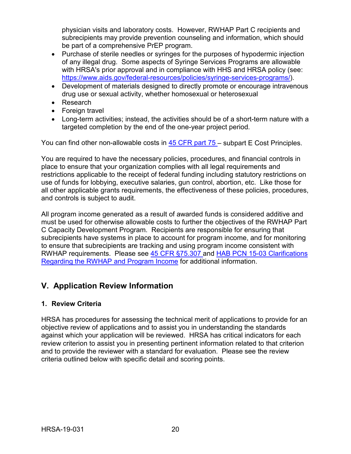physician visits and laboratory costs. However, RWHAP Part C recipients and subrecipients may provide prevention counseling and information, which should be part of a comprehensive PrEP program.

- Purchase of sterile needles or syringes for the purposes of hypodermic injection of any illegal drug. Some aspects of Syringe Services Programs are allowable with HRSA's prior approval and in compliance with HHS and HRSA policy (see: [https://www.aids.gov/federal-resources/policies/syringe-services-programs/\)](https://www.aids.gov/federal-resources/policies/syringe-services-programs/).
- Development of materials designed to directly promote or encourage intravenous drug use or sexual activity, whether homosexual or heterosexual
- Research
- Foreign travel
- Long-term activities; instead, the activities should be of a short-term nature with a targeted completion by the end of the one-year project period.

You can find other non-allowable costs in [45 CFR part 75 –](https://www.ecfr.gov/cgi-bin/retrieveECFR?gp=1&SID=4d52364ec83fab994c665943dadf9cf7&ty=HTML&h=L&r=PART&n=pt45.1.75) subpart E Cost Principles.

You are required to have the necessary policies, procedures, and financial controls in place to ensure that your organization complies with all legal requirements and restrictions applicable to the receipt of federal funding including statutory restrictions on use of funds for lobbying, executive salaries, gun control, abortion, etc. Like those for all other applicable grants requirements, the effectiveness of these policies, procedures, and controls is subject to audit.

All program income generated as a result of awarded funds is considered additive and must be used for otherwise allowable costs to further the objectives of the RWHAP Part C Capacity Development Program. Recipients are responsible for ensuring that subrecipients have systems in place to account for program income, and for monitoring to ensure that subrecipients are tracking and using program income consistent with RWHAP requirements. Please see [45 CFR §75.307 a](http://www.ecfr.gov/cgi-bin/retrieveECFR?gp=1&SID=4d52364ec83fab994c665943dadf9cf7&ty=HTML&h=L&r=PART&n=pt45.1.75&se45.1.75_1307)nd [HAB PCN 15-03 Clarifications](https://hab.hrsa.gov/program-grants-management/policy-notices-and-program-letters)  [Regarding the RWHAP and Program Income](https://hab.hrsa.gov/program-grants-management/policy-notices-and-program-letters) for additional information.

# <span id="page-23-0"></span>**V. Application Review Information**

# <span id="page-23-1"></span>**1. Review Criteria**

HRSA has procedures for assessing the technical merit of applications to provide for an objective review of applications and to assist you in understanding the standards against which your application will be reviewed. HRSA has critical indicators for each review criterion to assist you in presenting pertinent information related to that criterion and to provide the reviewer with a standard for evaluation. Please see the review criteria outlined below with specific detail and scoring points.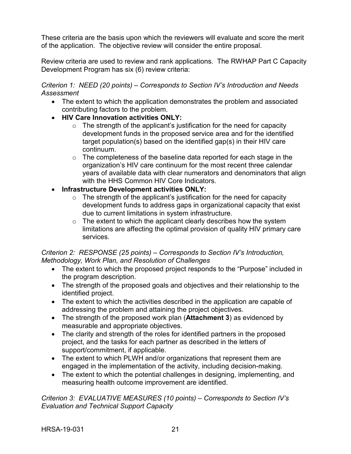These criteria are the basis upon which the reviewers will evaluate and score the merit of the application. The objective review will consider the entire proposal.

Review criteria are used to review and rank applications. The RWHAP Part C Capacity Development Program has six (6) review criteria:

#### *Criterion 1: NEED (20 points) – Corresponds to Section IV's Introduction and Needs Assessment*

- The extent to which the application demonstrates the problem and associated contributing factors to the problem.
- **HIV Care Innovation activities ONLY:** 
	- $\circ$  The strength of the applicant's justification for the need for capacity development funds in the proposed service area and for the identified target population(s) based on the identified gap(s) in their HIV care continuum.
	- $\circ$  The completeness of the baseline data reported for each stage in the organization's HIV care continuum for the most recent three calendar years of available data with clear numerators and denominators that align with the HHS Common HIV Core Indicators.
- **Infrastructure Development activities ONLY:** 
	- $\circ$  The strength of the applicant's justification for the need for capacity development funds to address gaps in organizational capacity that exist due to current limitations in system infrastructure.
	- $\circ$  The extent to which the applicant clearly describes how the system limitations are affecting the optimal provision of quality HIV primary care services.

# *Criterion 2: RESPONSE (25 points) – Corresponds to Section IV's Introduction, Methodology, Work Plan, and Resolution of Challenges*

- The extent to which the proposed project responds to the "Purpose" included in the program description.
- The strength of the proposed goals and objectives and their relationship to the identified project.
- The extent to which the activities described in the application are capable of addressing the problem and attaining the project objectives.
- The strength of the proposed work plan (**Attachment 3**) as evidenced by measurable and appropriate objectives.
- The clarity and strength of the roles for identified partners in the proposed project, and the tasks for each partner as described in the letters of support/commitment, if applicable.
- The extent to which PLWH and/or organizations that represent them are engaged in the implementation of the activity, including decision-making.
- The extent to which the potential challenges in designing, implementing, and measuring health outcome improvement are identified.

*Criterion 3: EVALUATIVE MEASURES (10 points) – Corresponds to Section IV's Evaluation and Technical Support Capacity*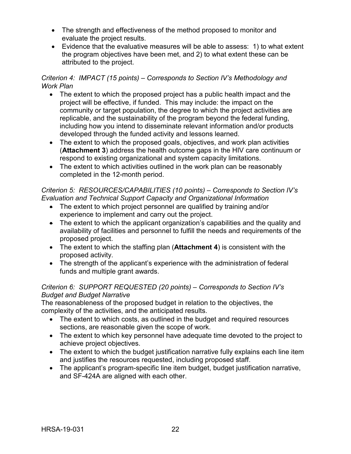- The strength and effectiveness of the method proposed to monitor and evaluate the project results.
- Evidence that the evaluative measures will be able to assess: 1) to what extent the program objectives have been met, and 2) to what extent these can be attributed to the project.

# *Criterion 4: IMPACT (15 points) – Corresponds to Section IV's Methodology and Work Plan*

- The extent to which the proposed project has a public health impact and the project will be effective, if funded. This may include: the impact on the community or target population, the degree to which the project activities are replicable, and the sustainability of the program beyond the federal funding, including how you intend to disseminate relevant information and/or products developed through the funded activity and lessons learned.
- The extent to which the proposed goals, objectives, and work plan activities (**Attachment 3**) address the health outcome gaps in the HIV care continuum or respond to existing organizational and system capacity limitations.
- The extent to which activities outlined in the work plan can be reasonably completed in the 12-month period.

#### *Criterion 5: RESOURCES/CAPABILITIES (10 points) – Corresponds to Section IV's Evaluation and Technical Support Capacity and Organizational Information*

- The extent to which project personnel are qualified by training and/or experience to implement and carry out the project.
- The extent to which the applicant organization's capabilities and the quality and availability of facilities and personnel to fulfill the needs and requirements of the proposed project.
- The extent to which the staffing plan (**Attachment 4**) is consistent with the proposed activity.
- The strength of the applicant's experience with the administration of federal funds and multiple grant awards.

# *Criterion 6: SUPPORT REQUESTED (20 points) – Corresponds to Section IV's Budget and Budget Narrative*

The reasonableness of the proposed budget in relation to the objectives, the complexity of the activities, and the anticipated results.

- The extent to which costs, as outlined in the budget and required resources sections, are reasonable given the scope of work.
- The extent to which key personnel have adequate time devoted to the project to achieve project objectives.
- The extent to which the budget justification narrative fully explains each line item and justifies the resources requested, including proposed staff.
- The applicant's program-specific line item budget, budget justification narrative, and SF-424A are aligned with each other.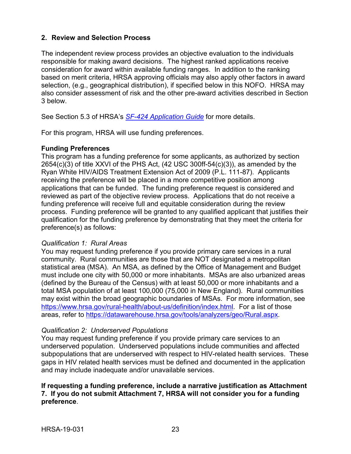#### <span id="page-26-0"></span>**2. Review and Selection Process**

The independent review process provides an objective evaluation to the individuals responsible for making award decisions. The highest ranked applications receive consideration for award within available funding ranges. In addition to the ranking based on merit criteria, HRSA approving officials may also apply other factors in award selection, (e.g., geographical distribution), if specified below in this NOFO. HRSA may also consider assessment of risk and the other pre-award activities described in Section 3 below.

See Section 5.3 of HRSA's *SF-424 [Application Guide](http://www.hrsa.gov/grants/apply/applicationguide/sf424guide.pdf)* for more details.

For this program, HRSA will use funding preferences.

#### **Funding Preferences**

This program has a funding preference for some applicants, as authorized by section  $2654(c)(3)$  of title XXVI of the PHS Act, (42 USC 300ff-54(c)(3)), as amended by the Ryan White HIV/AIDS Treatment Extension Act of 2009 (P.L. 111-87). Applicants receiving the preference will be placed in a more competitive position among applications that can be funded. The funding preference request is considered and reviewed as part of the objective review process. Applications that do not receive a funding preference will receive full and equitable consideration during the review process. Funding preference will be granted to any qualified applicant that justifies their qualification for the funding preference by demonstrating that they meet the criteria for preference(s) as follows:

#### *Qualification 1: Rural Areas*

You may request funding preference if you provide primary care services in a rural community. Rural communities are those that are NOT designated a metropolitan statistical area (MSA). An MSA, as defined by the Office of Management and Budget must include one city with 50,000 or more inhabitants. MSAs are also urbanized areas (defined by the Bureau of the Census) with at least 50,000 or more inhabitants and a total MSA population of at least 100,000 (75,000 in New England). Rural communities may exist within the broad geographic boundaries of MSAs. For more information, see [https://www.hrsa.gov/rural-health/about-us/definition/index.html.](https://www.hrsa.gov/rural-health/about-us/definition/index.html) For a list of those areas, refer to [https://datawarehouse.hrsa.gov/tools/analyzers/geo/Rural.aspx.](https://datawarehouse.hrsa.gov/tools/analyzers/geo/Rural.aspx)

#### *Qualification 2: Underserved Populations*

You may request funding preference if you provide primary care services to an underserved population. Underserved populations include communities and affected subpopulations that are underserved with respect to HIV-related health services. These gaps in HIV related health services must be defined and documented in the application and may include inadequate and/or unavailable services.

#### **If requesting a funding preference, include a narrative justification as Attachment 7. If you do not submit Attachment 7, HRSA will not consider you for a funding preference**.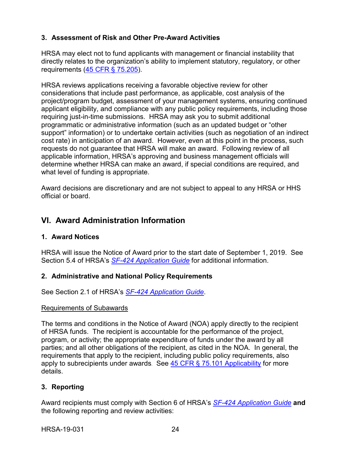# <span id="page-27-0"></span>**3. Assessment of Risk and Other Pre-Award Activities**

HRSA may elect not to fund applicants with management or financial instability that directly relates to the organization's ability to implement statutory, regulatory, or other requirements [\(45 CFR § 75.205\)](http://www.ecfr.gov/cgi-bin/retrieveECFR?gp=1&SID=4d52364ec83fab994c665943dadf9cf7&ty=HTML&h=L&r=PART&n=pt45.1.75&se45.1.75_1205).

HRSA reviews applications receiving a favorable objective review for other considerations that include past performance, as applicable, cost analysis of the project/program budget, assessment of your management systems, ensuring continued applicant eligibility, and compliance with any public policy requirements, including those requiring just-in-time submissions. HRSA may ask you to submit additional programmatic or administrative information (such as an updated budget or "other support" information) or to undertake certain activities (such as negotiation of an indirect cost rate) in anticipation of an award. However, even at this point in the process, such requests do not guarantee that HRSA will make an award. Following review of all applicable information, HRSA's approving and business management officials will determine whether HRSA can make an award, if special conditions are required, and what level of funding is appropriate.

Award decisions are discretionary and are not subject to appeal to any HRSA or HHS official or board.

# <span id="page-27-1"></span>**VI. Award Administration Information**

# <span id="page-27-2"></span>**1. Award Notices**

HRSA will issue the Notice of Award prior to the start date of September 1, 2019. See Section 5.4 of HRSA's *SF-424 [Application Guide](http://www.hrsa.gov/grants/apply/applicationguide/sf424guide.pdf)* for additional information.

# <span id="page-27-3"></span>**2. Administrative and National Policy Requirements**

See Section 2.1 of HRSA's *SF-424 [Application Guide](http://www.hrsa.gov/grants/apply/applicationguide/sf424guide.pdf)*.

#### Requirements of Subawards

The terms and conditions in the Notice of Award (NOA) apply directly to the recipient of HRSA funds. The recipient is accountable for the performance of the project, program, or activity; the appropriate expenditure of funds under the award by all parties; and all other obligations of the recipient, as cited in the NOA. In general, the requirements that apply to the recipient, including public policy requirements, also apply to subrecipients under awards. See  $45$  CFR  $\S$  75.101 Applicability for more details.

# <span id="page-27-4"></span>**3. Reporting**

Award recipients must comply with Section 6 of HRSA's *SF-424 [Application Guide](http://www.hrsa.gov/grants/apply/applicationguide/sf424guide.pdf)* **and** the following reporting and review activities: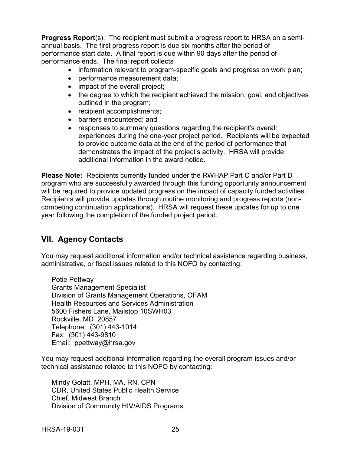**Progress Report**(s). The recipient must submit a progress report to HRSA on a semiannual basis. The first progress report is due six months after the period of performance start date. A final report is due within 90 days after the period of performance ends. The final report collects

- information relevant to program-specific goals and progress on work plan;
- performance measurement data;
- impact of the overall project;
- the degree to which the recipient achieved the mission, goal, and objectives outlined in the program;
- recipient accomplishments;
- barriers encountered; and
- responses to summary questions regarding the recipient's overall experiences during the one-year project period. Recipients will be expected to provide outcome data at the end of the period of performance that demonstrates the impact of the project's activity. HRSA will provide additional information in the award notice.

**Please Note:** Recipients currently funded under the RWHAP Part C and/or Part D program who are successfully awarded through this funding opportunity announcement will be required to provide updated progress on the impact of capacity funded activities. Recipients will provide updates through routine monitoring and progress reports (noncompeting continuation applications). HRSA will request these updates for up to one year following the completion of the funded project period.

# <span id="page-28-0"></span>**VII. Agency Contacts**

You may request additional information and/or technical assistance regarding business, administrative, or fiscal issues related to this NOFO by contacting:

Potie Pettway Grants Management Specialist Division of Grants Management Operations, OFAM Health Resources and Services Administration 5600 Fishers Lane, Mailstop 10SWH03 Rockville, MD 20857 Telephone: (301) 443-1014 Fax: (301) 443-9810 Email: ppettway@hrsa.gov

You may request additional information regarding the overall program issues and/or technical assistance related to this NOFO by contacting:

Mindy Golatt, MPH, MA, RN, CPN CDR, United States Public Health Service Chief, Midwest Branch Division of Community HIV/AIDS Programs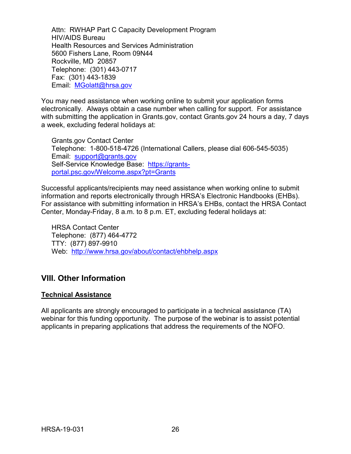Attn: RWHAP Part C Capacity Development Program HIV/AIDS Bureau Health Resources and Services Administration 5600 Fishers Lane, Room 09N44 Rockville, MD 20857 Telephone: (301) 443-0717 Fax: (301) 443-1839 Email: [MGolatt@hrsa.gov](mailto:MGolatt@hrsa.gov)

You may need assistance when working online to submit your application forms electronically. Always obtain a case number when calling for support. For assistance with submitting the application in Grants.gov, contact Grants.gov 24 hours a day, 7 days a week, excluding federal holidays at:

Grants.gov Contact Center Telephone: 1-800-518-4726 (International Callers, please dial 606-545-5035) Email: [support@grants.gov](mailto:support@grants.gov) Self-Service Knowledge Base: [https://grants](https://grants-portal.psc.gov/Welcome.aspx?pt=Grants)[portal.psc.gov/Welcome.aspx?pt=Grants](https://grants-portal.psc.gov/Welcome.aspx?pt=Grants)

Successful applicants/recipients may need assistance when working online to submit information and reports electronically through HRSA's Electronic Handbooks (EHBs). For assistance with submitting information in HRSA's EHBs, contact the HRSA Contact Center, Monday-Friday, 8 a.m. to 8 p.m. ET, excluding federal holidays at:

HRSA Contact Center Telephone: (877) 464-4772 TTY: (877) 897-9910 Web: <http://www.hrsa.gov/about/contact/ehbhelp.aspx>

# <span id="page-29-0"></span>**VIII. Other Information**

# **Technical Assistance**

All applicants are strongly encouraged to participate in a technical assistance (TA) webinar for this funding opportunity. The purpose of the webinar is to assist potential applicants in preparing applications that address the requirements of the NOFO.